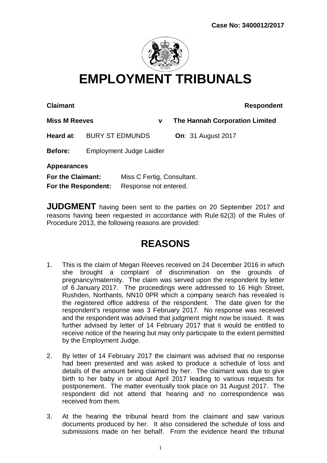

## **EMPLOYMENT TRIBUNALS**

**Claimant Respondent** 

**Miss M Reeves v The Hannah Corporation Limited Heard at**: BURY ST EDMUNDS **On**: 31 August 2017

**Before:** Employment Judge Laidler

**Appearances**

| For the Claimant:   | Miss C Fertig, Consultant. |
|---------------------|----------------------------|
| For the Respondent: | Response not entered.      |

**JUDGMENT** having been sent to the parties on 20 September 2017 and reasons having been requested in accordance with Rule 62(3) of the Rules of Procedure 2013, the following reasons are provided:

## **REASONS**

- 1. This is the claim of Megan Reeves received on 24 December 2016 in which she brought a complaint of discrimination on the grounds of pregnancy/maternity. The claim was served upon the respondent by letter of 6 January 2017. The proceedings were addressed to 16 High Street, Rushden, Northants, NN10 0PR which a company search has revealed is the registered office address of the respondent. The date given for the respondent's response was 3 February 2017. No response was received and the respondent was advised that judgment might now be issued. It was further advised by letter of 14 February 2017 that it would be entitled to receive notice of the hearing but may only participate to the extent permitted by the Employment Judge.
- 2. By letter of 14 February 2017 the claimant was advised that no response had been presented and was asked to produce a schedule of loss and details of the amount being claimed by her. The claimant was due to give birth to her baby in or about April 2017 leading to various requests for postponement. The matter eventually took place on 31 August 2017. The respondent did not attend that hearing and no correspondence was received from them.
- 3. At the hearing the tribunal heard from the claimant and saw various documents produced by her. It also considered the schedule of loss and submissions made on her behalf. From the evidence heard the tribunal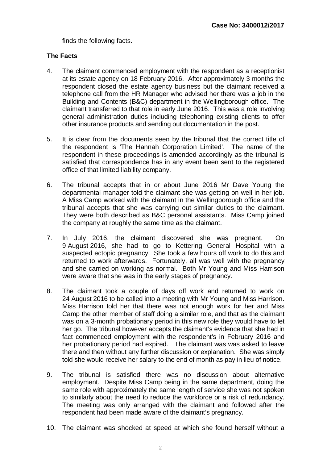finds the following facts.

## **The Facts**

- 4. The claimant commenced employment with the respondent as a receptionist at its estate agency on 18 February 2016. After approximately 3 months the respondent closed the estate agency business but the claimant received a telephone call from the HR Manager who advised her there was a job in the Building and Contents (B&C) department in the Wellingborough office. The claimant transferred to that role in early June 2016. This was a role involving general administration duties including telephoning existing clients to offer other insurance products and sending out documentation in the post.
- 5. It is clear from the documents seen by the tribunal that the correct title of the respondent is 'The Hannah Corporation Limited'. The name of the respondent in these proceedings is amended accordingly as the tribunal is satisfied that correspondence has in any event been sent to the registered office of that limited liability company.
- 6. The tribunal accepts that in or about June 2016 Mr Dave Young the departmental manager told the claimant she was getting on well in her job. A Miss Camp worked with the claimant in the Wellingborough office and the tribunal accepts that she was carrying out similar duties to the claimant. They were both described as B&C personal assistants. Miss Camp joined the company at roughly the same time as the claimant.
- 7. In July 2016, the claimant discovered she was pregnant. On 9 August 2016, she had to go to Kettering General Hospital with a suspected ectopic pregnancy. She took a few hours off work to do this and returned to work afterwards. Fortunately, all was well with the pregnancy and she carried on working as normal. Both Mr Young and Miss Harrison were aware that she was in the early stages of pregnancy.
- 8. The claimant took a couple of days off work and returned to work on 24 August 2016 to be called into a meeting with Mr Young and Miss Harrison. Miss Harrison told her that there was not enough work for her and Miss Camp the other member of staff doing a similar role, and that as the claimant was on a 3-month probationary period in this new role they would have to let her go. The tribunal however accepts the claimant's evidence that she had in fact commenced employment with the respondent's in February 2016 and her probationary period had expired. The claimant was was asked to leave there and then without any further discussion or explanation. She was simply told she would receive her salary to the end of month as pay in lieu of notice.
- 9. The tribunal is satisfied there was no discussion about alternative employment. Despite Miss Camp being in the same department, doing the same role with approximately the same length of service she was not spoken to similarly about the need to reduce the workforce or a risk of redundancy. The meeting was only arranged with the claimant and followed after the respondent had been made aware of the claimant's pregnancy.
- 10. The claimant was shocked at speed at which she found herself without a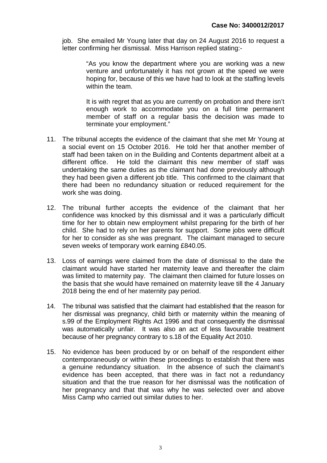job. She emailed Mr Young later that day on 24 August 2016 to request a letter confirming her dismissal. Miss Harrison replied stating:-

> "As you know the department where you are working was a new venture and unfortunately it has not grown at the speed we were hoping for, because of this we have had to look at the staffing levels within the team.

> It is with regret that as you are currently on probation and there isn't enough work to accommodate you on a full time permanent member of staff on a regular basis the decision was made to terminate your employment."

- 11. The tribunal accepts the evidence of the claimant that she met Mr Young at a social event on 15 October 2016. He told her that another member of staff had been taken on in the Building and Contents department albeit at a different office. He told the claimant this new member of staff was undertaking the same duties as the claimant had done previously although they had been given a different job title. This confirmed to the claimant that there had been no redundancy situation or reduced requirement for the work she was doing.
- 12. The tribunal further accepts the evidence of the claimant that her confidence was knocked by this dismissal and it was a particularly difficult time for her to obtain new employment whilst preparing for the birth of her child. She had to rely on her parents for support. Some jobs were difficult for her to consider as she was pregnant. The claimant managed to secure seven weeks of temporary work earning £840.05.
- 13. Loss of earnings were claimed from the date of dismissal to the date the claimant would have started her maternity leave and thereafter the claim was limited to maternity pay. The claimant then claimed for future losses on the basis that she would have remained on maternity leave till the 4 January 2018 being the end of her maternity pay period.
- 14. The tribunal was satisfied that the claimant had established that the reason for her dismissal was pregnancy, child birth or maternity within the meaning of s.99 of the Employment Rights Act 1996 and that consequently the dismissal was automatically unfair. It was also an act of less favourable treatment because of her pregnancy contrary to s.18 of the Equality Act 2010.
- 15. No evidence has been produced by or on behalf of the respondent either contemporaneously or within these proceedings to establish that there was a genuine redundancy situation. In the absence of such the claimant's evidence has been accepted, that there was in fact not a redundancy situation and that the true reason for her dismissal was the notification of her pregnancy and that that was why he was selected over and above Miss Camp who carried out similar duties to her.